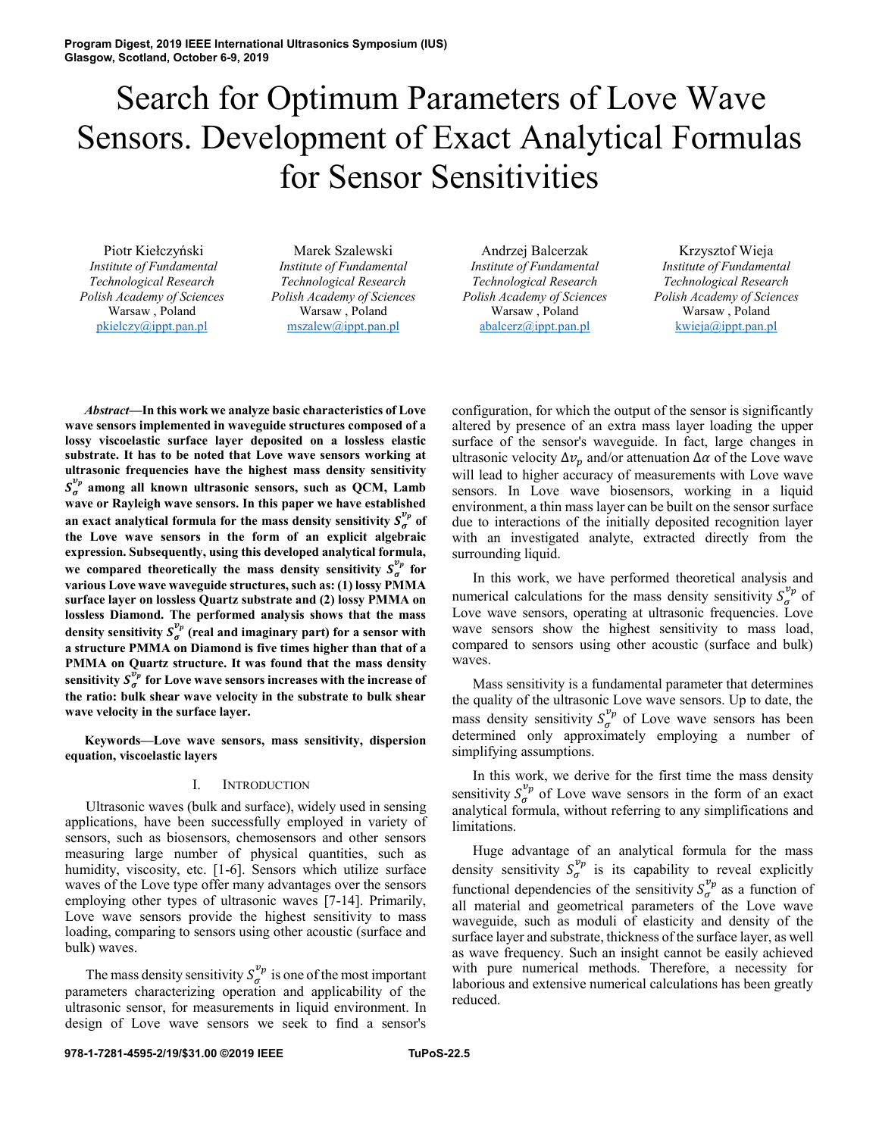# Search for Optimum Parameters of Love Wave Sensors. Development of Exact Analytical Formulas for Sensor Sensitivities

Piotr Kiełczyński *Institute of Fundamental Technological Research Polish Academy of Sciences* Warsaw , Poland pkielczy@ippt.pan.pl

Marek Szalewski *Institute of Fundamental Technological Research Polish Academy of Sciences* Warsaw , Poland mszalew@ippt.pan.pl

Andrzej Balcerzak *Institute of Fundamental Technological Research Polish Academy of Sciences* Warsaw , Poland abalcerz@ippt.pan.pl

Krzysztof Wieja *Institute of Fundamental Technological Research Polish Academy of Sciences* Warsaw , Poland kwieja@ippt.pan.pl

*Abstract***—In this work we analyze basic characteristics of Love wave sensors implemented in waveguide structures composed of a lossy viscoelastic surface layer deposited on a lossless elastic substrate. It has to be noted that Love wave sensors working at ultrasonic frequencies have the highest mass density sensitivity**   $S_{\sigma}^{v_p}$  among all known ultrasonic sensors, such as QCM, Lamb **wave or Rayleigh wave sensors. In this paper we have established**  an exact analytical formula for the mass density sensitivity  $S_{\sigma}^{\nu_p}$  of **the Love wave sensors in the form of an explicit algebraic expression. Subsequently, using this developed analytical formula,**  we compared theoretically the mass density sensitivity  $S_{\sigma}^{\nu_p}$  for **various Love wave waveguide structures, such as: (1) lossy PMMA surface layer on lossless Quartz substrate and (2) lossy PMMA on lossless Diamond. The performed analysis shows that the mass**  density sensitivity  $S^{\nu_p}_{\sigma}$  (real and imaginary part) for a sensor with **a structure PMMA on Diamond is five times higher than that of a PMMA on Quartz structure. It was found that the mass density**  sensitivity  $S^{\bar{\nu_p}}_{\sigma}$  for Love wave sensors increases with the increase of **the ratio: bulk shear wave velocity in the substrate to bulk shear wave velocity in the surface layer.** 

**Keywords—Love wave sensors, mass sensitivity, dispersion equation, viscoelastic layers** 

## I. INTRODUCTION

Ultrasonic waves (bulk and surface), widely used in sensing applications, have been successfully employed in variety of sensors, such as biosensors, chemosensors and other sensors measuring large number of physical quantities, such as humidity, viscosity, etc. [1-6]. Sensors which utilize surface waves of the Love type offer many advantages over the sensors employing other types of ultrasonic waves [7-14]. Primarily, Love wave sensors provide the highest sensitivity to mass loading, comparing to sensors using other acoustic (surface and bulk) waves.

The mass density sensitivity  $S_{\sigma}^{\nu_p}$  is one of the most important parameters characterizing operation and applicability of the ultrasonic sensor, for measurements in liquid environment. In design of Love wave sensors we seek to find a sensor's

configuration, for which the output of the sensor is significantly altered by presence of an extra mass layer loading the upper surface of the sensor's waveguide. In fact, large changes in ultrasonic velocity  $\Delta v_p$  and/or attenuation  $\Delta \alpha$  of the Love wave will lead to higher accuracy of measurements with Love wave sensors. In Love wave biosensors, working in a liquid environment, a thin mass layer can be built on the sensor surface due to interactions of the initially deposited recognition layer with an investigated analyte, extracted directly from the surrounding liquid.

In this work, we have performed theoretical analysis and numerical calculations for the mass density sensitivity  $S_{\sigma}^{\nu_p}$  of Love wave sensors, operating at ultrasonic frequencies. Love wave sensors show the highest sensitivity to mass load, compared to sensors using other acoustic (surface and bulk) waves.

Mass sensitivity is a fundamental parameter that determines the quality of the ultrasonic Love wave sensors. Up to date, the mass density sensitivity  $S_{\sigma}^{\nu_p}$  of Love wave sensors has been determined only approximately employing a number of simplifying assumptions.

In this work, we derive for the first time the mass density sensitivity  $S_{\sigma}^{\nu_p}$  of Love wave sensors in the form of an exact analytical formula, without referring to any simplifications and limitations.

Huge advantage of an analytical formula for the mass density sensitivity  $S_{\sigma}^{\nu_p}$  is its capability to reveal explicitly functional dependencies of the sensitivity  $S_{\sigma}^{\nu_p}$  as a function of all material and geometrical parameters of the Love wave waveguide, such as moduli of elasticity and density of the surface layer and substrate, thickness of the surface layer, as well as wave frequency. Such an insight cannot be easily achieved with pure numerical methods. Therefore, a necessity for laborious and extensive numerical calculations has been greatly reduced.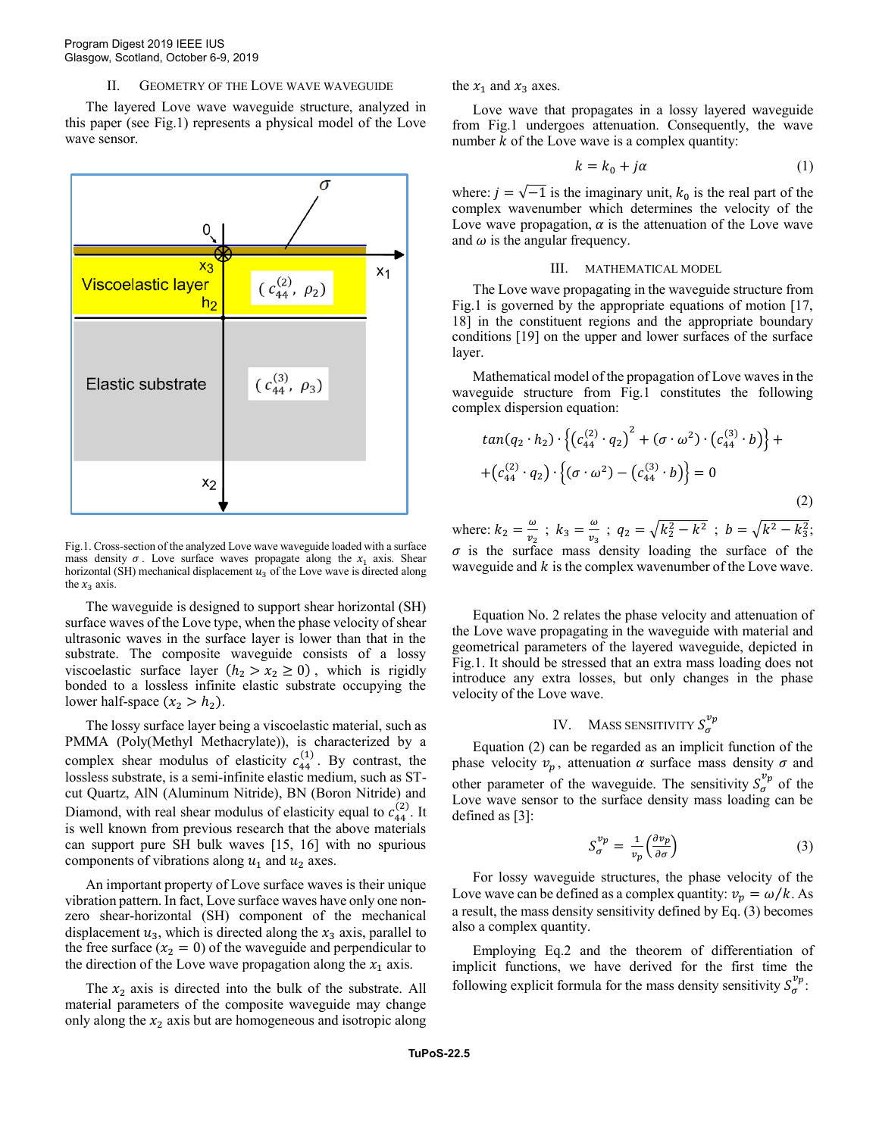### II. GEOMETRY OF THE LOVE WAVE WAVEGUIDE

The layered Love wave waveguide structure, analyzed in this paper (see Fig.1) represents a physical model of the Love wave sensor.



Fig.1. Cross-section of the analyzed Love wave waveguide loaded with a surface mass density  $\sigma$ . Love surface waves propagate along the  $x_1$  axis. Shear horizontal (SH) mechanical displacement  $u_3$  of the Love wave is directed along the  $x_3$  axis.

The waveguide is designed to support shear horizontal (SH) surface waves of the Love type, when the phase velocity of shear ultrasonic waves in the surface layer is lower than that in the substrate. The composite waveguide consists of a lossy viscoelastic surface layer  $(h_2 > x_2 \ge 0)$ , which is rigidly bonded to a lossless infinite elastic substrate occupying the lower half-space  $(x_2 > h_2)$ .

The lossy surface layer being a viscoelastic material, such as PMMA (Poly(Methyl Methacrylate)), is characterized by a complex shear modulus of elasticity  $c_{44}^{(1)}$ . By contrast, the lossless substrate, is a semi-infinite elastic medium, such as STcut Quartz, AlN (Aluminum Nitride), BN (Boron Nitride) and Diamond, with real shear modulus of elasticity equal to  $c_{44}^{(2)}$ . It is well known from previous research that the above materials can support pure SH bulk waves [15, 16] with no spurious components of vibrations along  $u_1$  and  $u_2$  axes.

An important property of Love surface waves is their unique vibration pattern. In fact, Love surface waves have only one nonzero shear-horizontal (SH) component of the mechanical displacement  $u_3$ , which is directed along the  $x_3$  axis, parallel to the free surface  $(x_2 = 0)$  of the waveguide and perpendicular to the direction of the Love wave propagation along the  $x_1$  axis.

The  $x_2$  axis is directed into the bulk of the substrate. All material parameters of the composite waveguide may change only along the  $x_2$  axis but are homogeneous and isotropic along the  $x_1$  and  $x_3$  axes.

Love wave that propagates in a lossy layered waveguide from Fig.1 undergoes attenuation. Consequently, the wave number  $k$  of the Love wave is a complex quantity:

$$
k = k_0 + j\alpha \tag{1}
$$

where:  $j = \sqrt{-1}$  is the imaginary unit,  $k_0$  is the real part of the complex wavenumber which determines the velocity of the Love wave propagation,  $\alpha$  is the attenuation of the Love wave and  $\omega$  is the angular frequency.

## III. MATHEMATICAL MODEL

The Love wave propagating in the waveguide structure from Fig.1 is governed by the appropriate equations of motion [17, 18] in the constituent regions and the appropriate boundary conditions [19] on the upper and lower surfaces of the surface layer.

Mathematical model of the propagation of Love waves in the waveguide structure from Fig.1 constitutes the following complex dispersion equation:

$$
tan(q_2 \cdot h_2) \cdot \left\{ (c_{44}^{(2)} \cdot q_2)^2 + (\sigma \cdot \omega^2) \cdot (c_{44}^{(3)} \cdot b) \right\} +
$$
  
+
$$
(c_{44}^{(2)} \cdot q_2) \cdot \left\{ (\sigma \cdot \omega^2) - (c_{44}^{(3)} \cdot b) \right\} = 0
$$
  
(2)

where:  $k_2 = \frac{\omega}{n_2}$  $\frac{\omega}{v_2}$ ;  $k_3 = \frac{\omega}{v_3}$  $\frac{\omega}{v_3}$ ;  $q_2 = \sqrt{k_2^2 - k^2}$ ;  $b = \sqrt{k^2 - k_3^2}$ ;  $\sigma$  is the surface mass density loading the surface of the waveguide and  $k$  is the complex wavenumber of the Love wave.

Equation No. 2 relates the phase velocity and attenuation of the Love wave propagating in the waveguide with material and geometrical parameters of the layered waveguide, depicted in Fig.1. It should be stressed that an extra mass loading does not introduce any extra losses, but only changes in the phase velocity of the Love wave.

# IV. MASS SENSITIVITY  $S_{\sigma}^{\nu_p}$

Equation (2) can be regarded as an implicit function of the phase velocity  $v_p$ , attenuation  $\alpha$  surface mass density  $\sigma$  and other parameter of the waveguide. The sensitivity  $S_{\sigma}^{\nu_p}$  of the Love wave sensor to the surface density mass loading can be defined as [3]:

$$
S_{\sigma}^{\nu_p} = \frac{1}{\nu_p} \left( \frac{\partial \nu_p}{\partial \sigma} \right) \tag{3}
$$

For lossy waveguide structures, the phase velocity of the Love wave can be defined as a complex quantity:  $v_p = \omega/k$ . As a result, the mass density sensitivity defined by Eq. (3) becomes also a complex quantity.

Employing Eq.2 and the theorem of differentiation of implicit functions, we have derived for the first time the following explicit formula for the mass density sensitivity  $S_{\sigma}^{\nu_p}$ :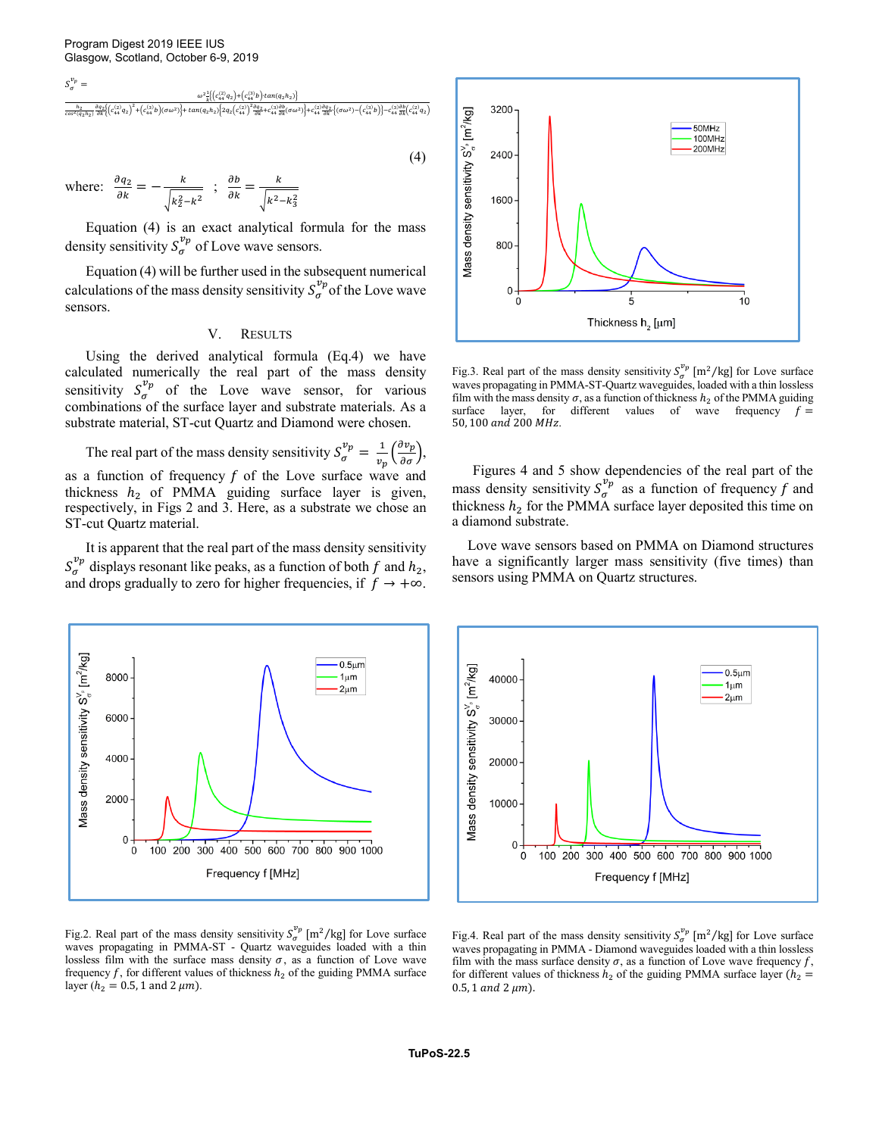$S_{\sigma}^{\nu_p} =$ 

$$
\frac{\omega^2\frac{1}{k}\left[\left(c_{44}^{(2)}q_2\right)+\left(c_{44}^{(3)}q_2\right)+\left(c_{44}^{(4)}q_2\right)+\left(c_{44}^{(4)}q_2\right)+\left(c_{44}^{(4)}q_2\right)+\omega^2\left(c_{44}^{(4)}q_2\right)+\omega^2\left(c_{44}^{(4)}q_2\right)+\omega^2\left(c_{44}^{(4)}q_2\right)+\omega^2\left(c_{44}^{(4)}q_2\right)+\omega^2\left(c_{44}^{(4)}q_2\right)+\omega^2\left(c_{44}^{(4)}q_2\right)+\omega^2\left(c_{44}^{(4)}q_2\right)+\omega^2\left(c_{44}^{(4)}q_2\right)+\omega^2\left(c_{44}^{(4)}q_2\right)+\omega^2\left(c_{44}^{(4)}q_2\right)+\omega^2\left(c_{44}^{(4)}q_2\right)+\omega^2\left(c_{44}^{(4)}q_2\right)+\omega^2\left(c_{44}^{(4)}q_2\right)+\omega^2\left(c_{44}^{(4)}q_2\right)+\omega^2\left(c_{44}^{(4)}q_2\right)+\omega^2\left(c_{44}^{(4)}q_2\right)+\omega^2\left(c_{44}^{(4)}q_2\right)+\omega^2\left(c_{44}^{(4)}q_2\right)+\omega^2\left(c_{44}^{(4)}q_2\right)+\omega^2\left(c_{44}^{(4)}q_2\right)+\omega^2\left(c_{44}^{(4)}q_2\right)+\omega^2\left(c_{44}^{(4)}q_2\right)+\omega^2\left(c_{44}^{(4)}q_2\right)+\omega^2\left(c_{44}^{(4)}q_2\right)+\omega^2\left(c_{44}^{(4)}q_2\right)+\omega^2\left(c_{44}^{(4)}q_2\right)+\omega^2\left(c_{44}^{(4)}q_2\right)+\omega^2\left(c_{44}^{(4)}q_2\right)+\omega^2\left(c_{44}^{(4)}q_2\right)+\omega^2\left(c_{44}^{(4)}q_2\right)+\omega^2\left(c_{44}^{(4)}q_2\right)+\omega^2\left(c_{44
$$

$$
(4)
$$

where: 
$$
\frac{\partial q_2}{\partial k} = -\frac{k}{\sqrt{k_2^2 - k^2}}
$$
;  $\frac{\partial b}{\partial k} = \frac{k}{\sqrt{k^2 - k_3^2}}$ 

Equation (4) is an exact analytical formula for the mass density sensitivity  $S_\sigma^{\nu_p}$  of Love wave sensors.

Equation (4) will be further used in the subsequent numerical calculations of the mass density sensitivity  $S_{\sigma}^{\nu_p}$  of the Love wave sensors.

### V. RESULTS

Using the derived analytical formula (Eq.4) we have calculated numerically the real part of the mass density sensitivity  $S_{\sigma}^{\nu_p}$  of the Love wave sensor, for various combinations of the surface layer and substrate materials. As a substrate material, ST-cut Quartz and Diamond were chosen.

The real part of the mass density sensitivity  $S_{\sigma}^{\nu_p} = \frac{1}{v_a}$  $rac{1}{v_p} \left( \frac{\partial v_p}{\partial \sigma} \right),$ as a function of frequency  $f$  of the Love surface wave and thickness  $h_2$  of PMMA guiding surface layer is given, respectively, in Figs 2 and 3. Here, as a substrate we chose an ST-cut Quartz material.

It is apparent that the real part of the mass density sensitivity  $S_{\sigma}^{\nu_p}$  displays resonant like peaks, as a function of both f and  $h_2$ , and drops gradually to zero for higher frequencies, if  $f \rightarrow +\infty$ .



Fig.3. Real part of the mass density sensitivity  $S_{\sigma}^{\nu_p}$  [m<sup>2</sup>/kg] for Love surface waves propagating in PMMA-ST-Quartz waveguides, loaded with a thin lossless film with the mass density  $\sigma$ , as a function of thickness  $h_2$  of the PMMA guiding surface layer, for different values of wave frequency  $f =$ 50, 100 and 200 MHz.

Figures 4 and 5 show dependencies of the real part of the mass density sensitivity  $S_{\sigma}^{\nu_p}$  as a function of frequency f and thickness  $h_2$  for the PMMA surface layer deposited this time on a diamond substrate.

Love wave sensors based on PMMA on Diamond structures have a significantly larger mass sensitivity (five times) than sensors using PMMA on Quartz structures.



Fig.2. Real part of the mass density sensitivity  $S_{\sigma}^{\nu_p}$  [m<sup>2</sup>/kg] for Love surface waves propagating in PMMA-ST - Quartz waveguides loaded with a thin lossless film with the surface mass density  $\sigma$ , as a function of Love wave frequency f, for different values of thickness  $h_2$  of the guiding PMMA surface layer ( $h_2 = 0.5$ , 1 and 2  $\mu$ m).



Fig.4. Real part of the mass density sensitivity  $S_{\sigma}^{\nu_p}$  [m<sup>2</sup>/kg] for Love surface waves propagating in PMMA - Diamond waveguides loaded with a thin lossless film with the mass surface density  $\sigma$ , as a function of Love wave frequency f, for different values of thickness  $h_2$  of the guiding PMMA surface layer  $(h_2 =$  $0.5$ , 1 and 2  $\mu$ m).